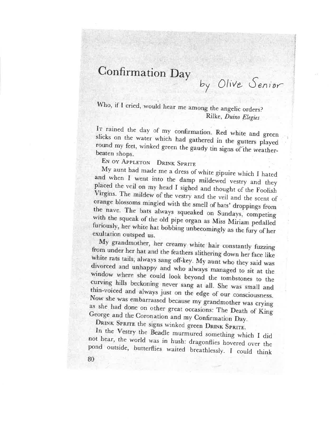## **Confirmation Day**

by Olive Senior

Who, if I cried, would hear me among the angelic orders? Rilke, Duino Elegies

IT rained the day of my confirmation. Red white and green slicks on the water which had gathered in the gutters played round my feet, winked green the gaudy tin signs of the weatherbeaten shops.

EN OY APPLETON DRINK SPRITE

My aunt had made me a dress of white gipuire which I hated and when I went into the damp mildewed vestry and they placed the veil on my head I sighed and thought of the Foolish Virgins. The mildew of the vestry and the veil and the scent of orange blossoms mingled with the smell of bats' droppings from the nave. The bats always squeaked on Sundays, competing with the squeak of the old pipe organ as Miss Miriam pedalled furiously, her white hat bobbing unbecomingly as the fury of her exultation outsped us.

My grandmother, her creamy white hair constantly fuzzing from under her hat and the feathers slithering down her face like white rats tails, always sang off-key. My aunt who they said was divorced and unhappy and who always managed to sit at the window where she could look beyond the tombstones to the curving hills beckoning never sang at all. She was small and thin-voiced and always just on the edge of our consciousness. Now she was embarrassed because my grandmother was crying as she had done on other great occasions: The Death of King George and the Coronation and my Confirmation Day.

DRINK SPRITE the signs winked green DRINK SPRITE.

In the Vestry the Beadle murmured something which I did not hear, the world was in hush: dragonflies hovered over the pond outside, butterflies waited breathlessly. I could think

80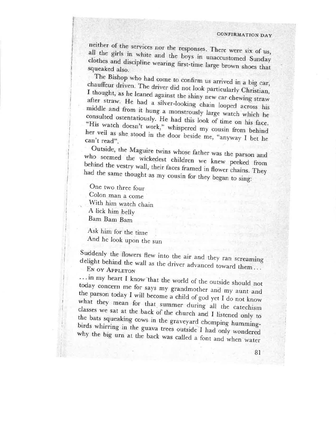neither of the services nor the responses. There were six of us, all the girls in white and the boys in unaccustomed Sunday clothes and discipline wearing first-time large brown shoes that squeaked also.

The Bishop who had come to confirm us arrived in a big car, chauffeur driven. The driver did not look particularly Christian, I thought, as he leaned against the shiny new car chewing straw after straw. He had a silver-looking chain looped across his middle and from it hung a monstrously large watch which he consulted ostentatiously. He had this look of time on his face. "His watch doesn't work," whispered my cousin from behind her veil as she stood in the door beside me, "anyway I bet he can't read".

Outside, the Maguire twins whose father was the parson and who seemed the wickedest children we knew peeked from behind the vestry wall, their faces framed in flower chains. They had the same thought as my cousin for they began to sing:

One two three four Colon man a come With him watch chain A lick him belly Bam Bam Bam

Ask him for the time And he look upon the sun

Suddenly the flowers flew into the air and they ran screaming delight behind the wall as the driver advanced toward them... EN OY APPLETON

... in my heart I know that the world of the outside should not today concern me for says my grandmother and my aunt and the parson today I will become a child of god yet I do not know what they mean for that summer during all the catechism classes we sat at the back of the church and I listened only to the bats squeaking cows in the graveyard chomping hummingbirds whirring in the guava trees outside I had only wondered why the big urn at the back was called a font and when water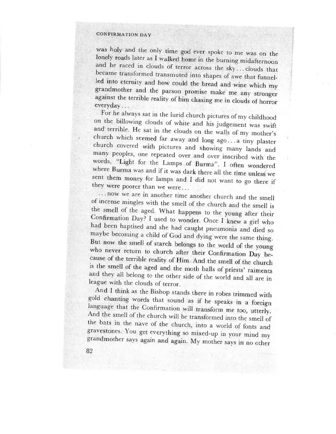## CONFIRMATION DAY

was holy and the only time god ever spoke to me was on the lonely roads later as I walked home in the burning midafternoon and he raced in clouds of terror across the sky... clouds that became transformed transmuted into s led into eternity and how could the bread and wine which my grandmother and the parson promise make me any stronger against the terrible reality of him chasing me in clouds of horror everyday...

For he always sat in the lurid church pictures of my childhood<br>on the billowing clouds of white and his judgement was swift<br>and terrible. He sat in the clouds on the walls of my mother's<br>church which seemed far away and l

of incense mingles with the smell of the church and the smell is<br>the smell of the aged. What happens to the young after their<br>Confirmation Day? I used to wonder. Once I knew a girl who<br>had been baptised and she had caught is the smell of the aged and the moth balls of priests' raiments<br>and they all belong to the other side of the world and all are in<br>league with the clouds of terror.<br>And I think as the Bishop stands there in robes trimmed w

gold chanting words that sound as if he speaks in a foreign language that the Confirmation will transform me too, utterly. And the smell of the church will be transformed into the smell of the bats in the nave of the churc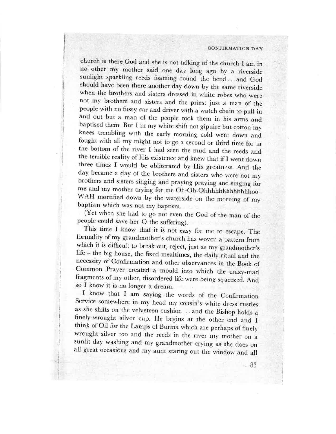## **CONFIRMATION DAY**

church is there God and she is not ralking of the church I am in no other my mother said one day long ago by a riverside sunlight sparkling reeds foaming round the bend...and God should have been there another day down by the same riverside when the brothers and sisters dressed in white robes who were not my brothers and sisters and the priest just a man of the people with no fussy car and driver with a watch chain to pull in and out but a man of the people took them in his arms and baptised them, But I in my white shift not gipuire but cotton my knees trembling with the early morning cold went down and fought with all my might not to go a second or third time for in the bottom of the river I had seen the mud and the reeds and the terrible reality of His existence and knew that if I went down<br>three times I would be obliterated by His greatness. And the day became a day of the brothers and sisters who were not my brothers and sisters singing and praying praying and singing for me and my mother crying for me Oh-Oh-Ohhhhhhhhhhhhhhoo-WAH mortified down by the waterside on the morning of my baptism which was not my baptism.

(Yet when she had to go not even the God of the man of the people could save her O the suffering).

This time I know that it is not easy for me to escape. The formality of my grandmother's church has woven a pattern from which it is difficult to break out, reject, just as my grandmother's  $\frac{1}{2}$ raliul and the necessity of confirmation and other observances in the Book of Common Prayer created a mould into which the crazy-mad fragments of my other, disordered life were being squeezed. And so I know it is no longer a dream.

I know that I am saying the words of the confirmation Service somewhere in my head my cousin's white dress rustles as she shifts on the velveteen cushion...and the Bishop holds a finely-wrought silver cup. He begins at the other end and I think of Oil for the Lamps of Burma which are perhaps of finely wrought silver too and the reeds in the river my mother on a sunlit day washing and my grandmother crying as she does on all great occasions and my aunt staring out the window and all